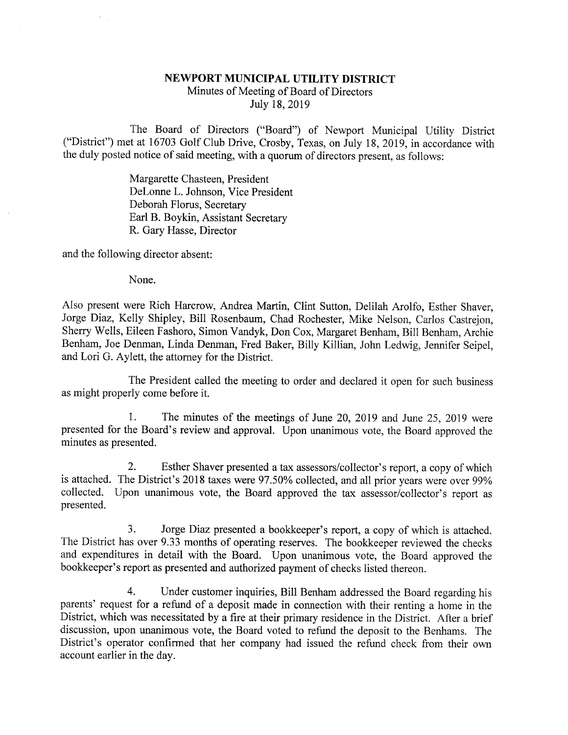## NEWPORT MUNICIPAL UTILITY DISTRICT Minutes of Meeting of Board of Directors July 18, 2019

The Board of Directors ("Board") of Newport Municipal Utility District ("District") met at 16703 Golf Club Drive, Crosby, Texas, on July 18, 2019, in accordance with the duly posted notice of said meeting, with a quorum of directors present, as follows:

> Margarette Chasteen, President DeLonne L. Johnson, Vice President Deborah Florus, Secretary Earl B. Boykin, Assistant Secretary R. Gary Hasse, Director

and the following director absent:

None.

Also present were Rich Harcrow, Andrea Martin, Clint Sutton, Delilah Arolfo, Esther Shaver, Jorge Diaz, Kelly Shipley, Bill Rosenbaum, Chad Rochester, Mike Nelson, Carlos Castrejon, Sherry Wells, Eileen Fashoro, Simon Vandyk, Don Cox, Margaret Benham, Bill Benham, Archie Benham, Joe Denman, Linda Denman, Fred Baker, Billy Killian, John Ledwig, Jennifer Seipel, and Lori G. Aylett, the attorney for the District.

The President called the meeting to order and declared it open for such business as might properly come before it.

1. The minutes of the meetings of June 20, 2019 and June 25, 2019 were presented for the Board's review and approval. Upon unanimous vote, the Board approved the minutes as presented.

2. Esther Shaver presented a tax assessors/collector's report, a copy of which is attached. The District's 2018 taxes were 97.50% collected, and all prior years were over 99% collected. Upon unanimous vote, the Board approved the tax assessor/collector's report as presented.

3. Jorge Diaz presented a bookkeeper's report, a copy of which is attached. The District has over 9.33 months of operating reserves. The bookkeeper reviewed the checks and expenditures in detail with the Board. Upon unanimous vote, the Board approved the bookkeeper's report as presented and authorized payment of checks listed thereon.

4. Under customer inquiries, Bill Benham addressed the Board regarding his parents' request for a refund of a deposit made in connection with their renting a home in the District, which was necessitated by a fire at their primary residence in the District. After a brief discussion, upon unanimous vote, the Board voted to refund the deposit to the Benhams. The District's operator confirmed that her company had issued the refund check from their own account earlier in the day.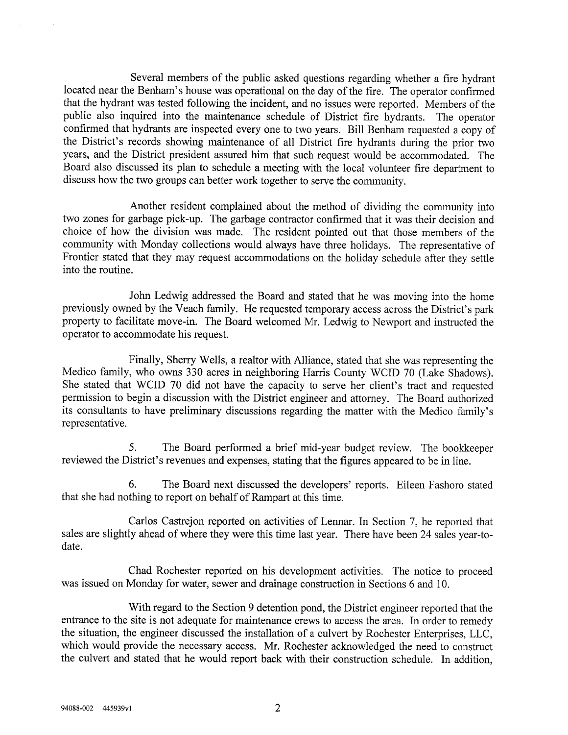Several members of the public asked questions regarding whether a fire hydrant located near the Benham's house was operational on the day of the fire. The operator confirmed that the hydrant was tested following the incident, and no issues were reported. Members of the public also inquired into the maintenance schedule of District fire hydrants. The operator confirmed that hydrants are inspected every one to two years. Bill Benham requested a copy of the District's records showing maintenance of all District fire hydrants during the prior two years, and the District president assured him that such request would be accommodated. The Board also discussed its plan to schedule a meeting with the local volunteer fire department to discuss how the two groups can better work together to serve the community.

Another resident complained about the method of dividing the community into two zones for garbage pick-up. The garbage contractor confirmed that it was their decision and choice of how the division was made. The resident pointed out that those members of the community with Monday collections would always have three holidays. The representative of Frontier stated that they may request accommodations on the holiday schedule after they settle into the routine.

John Ledwig addressed the Board and stated that he was moving into the home previously owned by the Veach family. He requested temporary access across the District's park property to facilitate move-in. The Board welcomed Mr. Ledwig to Newport and instructed the operator to accommodate his request.

Finally, Sherry Wells, a realtor with Alliance, stated that she was representing the Medico family, who owns 330 acres in neighboring Harris County WCID 70 (Lake Shadows). She stated that WCID 70 did not have the capacity to serve her client's tract and requested permission to begin a discussion with the District engineer and attorney. The Board authorized its consultants to have preliminary discussions regarding the matter with the Medico family's representative.

5. The Board performed a brief mid-year budget review. The bookkeeper reviewed the District's revenues and expenses, stating that the figures appeared to be in line.

6. The Board next discussed the developers' reports. Eileen Fashoro stated that she had nothing to report on behalf of Rampart at this time.

Carlos Castrejon reported on activities of Lennar. In Section 7, he reported that sales are slightly ahead of where they were this time last year. There have been 24 sales year-todate.

Chad Rochester reported on his development activities. The notice to proceed was issued on Monday for water, sewer and drainage construction in Sections 6 and 10.

With regard to the Section 9 detention pond, the District engineer reported that the entrance to the site is not adequate for maintenance crews to access the area. In order to remedy the situation, the engineer discussed the installation of a culvert by Rochester Enterprises, LLC, which would provide the necessary access. Mr. Rochester acknowledged the need to construct the culvert and stated that he would report back with their construction schedule. In addition,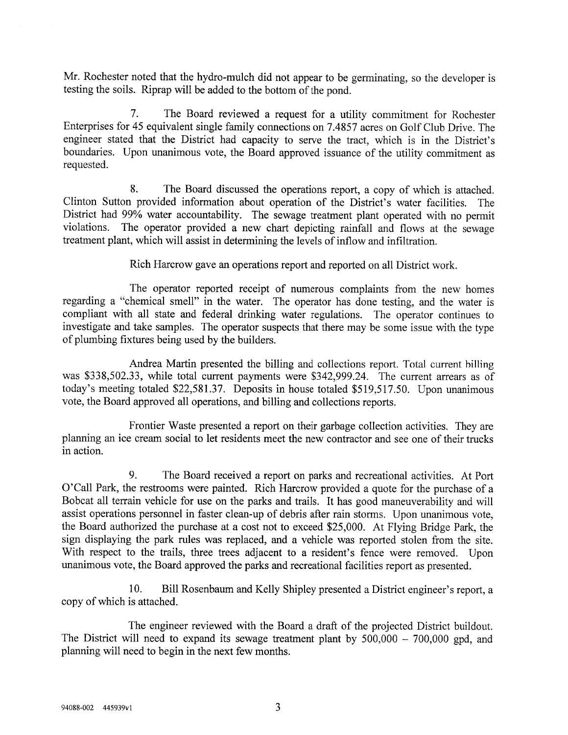Mr. Rochester noted that the hydro-mulch did not appear to be germinating, so the developer is testing the soils. Riprap will be added to the bottom of the pond.

7. The Board reviewed a request for a utility commitment for Rochester Enterprises for 45 equivalent single family connections on 7.4857 acres on Golf Club Drive. The engineer stated that the District had capacity to serve the tract, which is in the District's boundaries. Upon unanimous vote, the Board approved issuance of the utility commitment as requested.

8. The Board discussed the operations report, a copy of which is attached. Clinton Sutton provided information about operation of the District's water facilities. The District had 99% water accountability. The sewage treatment plant operated with no permit violations. The operator provided a new chart depicting rainfall and flows at the sewage treatment plant, which will assist in determining the levels of inflow and infiltration.

Rich Harcrow gave an operations report and reported on all District work.

The operator reported receipt of numerous complaints from the new homes regarding a "chemical smell" in the water. The operator has done testing, and the water is compliant with all state and federal drinking water regulations. The operator continues to investigate and take samples. The operator suspects that there may be some issue with the type of plumbing fixtures being used by the builders.

Andrea Martin presented the billing and collections report. Total current billing was \$338,502.33, while total current payments were \$342,999.24. The current arrears as of today's meeting totaled \$22,581.37. Deposits in house totaled \$519,517.50. Upon unanimous vote, the Board approved all operations, and billing and collections reports.

Frontier Waste presented a report on their garbage collection activities. They are planning an ice cream social to let residents meet the new contractor and see one of their trucks in action.

9. The Board received a report on parks and recreational activities. At Port 0'Call Park, the restrooms were painted. Rich Harcrow provided a quote for the purchase of a Bobcat all terrain vehicle for use on the parks and trails. It has good maneuverability and will assist operations personnel in faster clean-up of debris after rain storms. Upon unanimous vote, the Board authorized the purchase at a cost not to exceed \$25,000. At Flying Bridge Park, the sign displaying the park rules was replaced, and a vehicle was reported stolen from the site. With respect to the trails, three trees adjacent to a resident's fence were removed. Upon unanimous vote, the Board approved the parks and recreational facilities report as presented.

10. Bill Rosenbaum and Kelly Shipley presented a District engineer's report, a copy of which is attached.

The engineer reviewed with the Board a draft of the projected District buildout. The District will need to expand its sewage treatment plant by  $500,000 - 700,000$  gpd, and planning will need to begin in the next few months.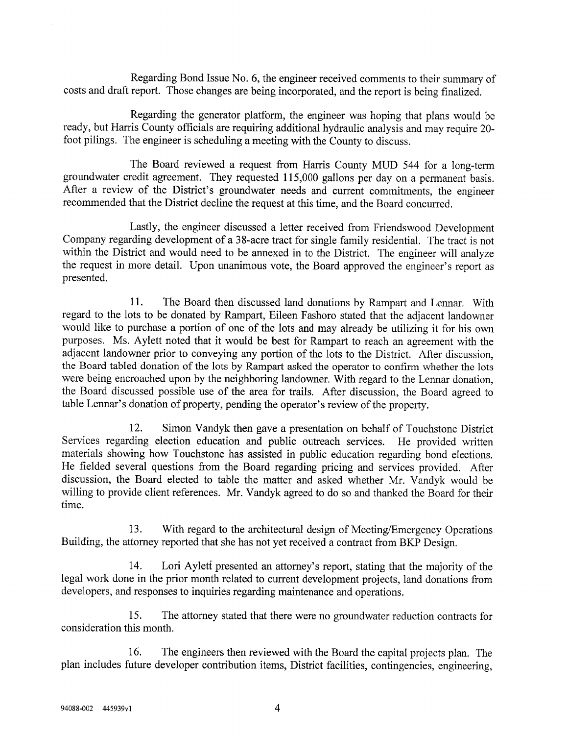Regarding Bond Issue No. 6, the engineer received comments to their summary of costs and draft report. Those changes are being incorporated, and the report is being finalized.

Regarding the generator platform, the engineer was hoping that plans would be ready, but Harris County officials are requiring additional hydraulic analysis and may require 20 foot pilings. The engineer is scheduling a meeting with the County to discuss.

The Board reviewed a request from Harris County MUD 544 for a long-term groundwater credit agreement. They requested 115,000 gallons per day on a permanent basis. After a review of the District's groundwater needs and current commitments, the engineer recommended that the District decline the request at this time, and the Board concurred.

Lastly, the engineer discussed a letter received from Friendswood Development Company regarding development of a 38-acre tract for single family residential. The tract is not within the District and would need to be annexed in to the District. The engineer will analyze the request in more detail. Upon unanimous vote, the Board approved the engineer's report as presented.

11. The Board then discussed land donations by Rampart and Lennar. With regard to the lots to be donated by Rampart, Eileen Fashoro stated that the adjacent landowner would like to purchase a portion of one of the lots and may already be utilizing it for his own purposes. Ms. Aylett noted that it would be best for Rampart to reach an agreement with the adjacent landowner prior to conveying any portion of the lots to the District. After discussion, the Board tabled donation of the lots by Rampart asked the operator to confirm whether the lots were being encroached upon by the neighboring landowner. With regard to the Lennar donation, the Board discussed possible use of the area for trails. After discussion, the Board agreed to table Lennar's donation of property, pending the operator's review of the property.

12. Simon Vandyk then gave a presentation on behalf of Touchstone District Services regarding election education and public outreach services. He provided written materials showing how Touchstone has assisted in public education regarding bond elections. He fielded several questions from the Board regarding pricing and services provided. After discussion, the Board elected to table the matter and asked whether Mr. Vandyk would be willing to provide client references. Mr. Vandyk agreed to do so and thanked the Board for their time.

13. With regard to the architectural design of Meeting/Emergency Operations Building, the attorney reported that she has not yet received a contract from BKP Design.

14. Lori Aylett presented an attorney's report, stating that the majority of the legal work done in the prior month related to current development projects, land donations from developers, and responses to inquiries regarding maintenance and operations.

15. The attorney stated that there were no groundwater reduction contracts for consideration this month.

16. The engineers then reviewed with the Board the capital projects plan. The plan includes future developer contribution items, District facilities, contingencies, engineering,